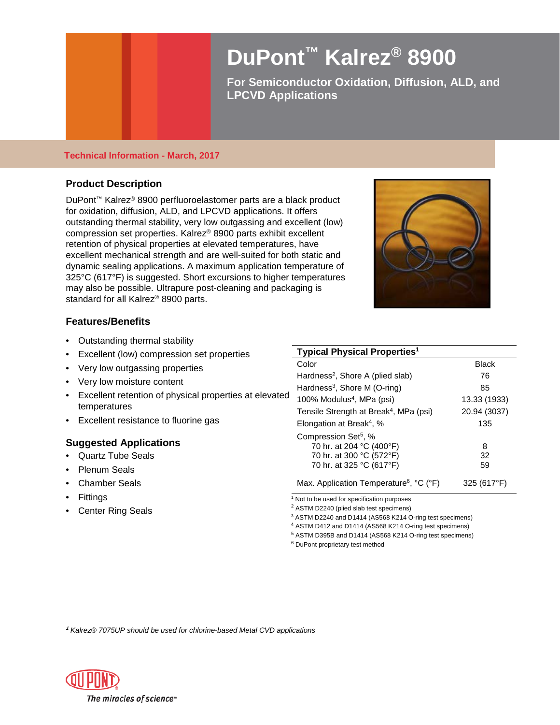# **DuPont™ Kalrez® 8900**

**For Semiconductor Oxidation, Diffusion, ALD, and LPCVD Applications** 

# **Technical Information - March, 2017**

# **Product Description**

DuPont™ Kalrez® 8900 perfluoroelastomer parts are a black product for oxidation, diffusion, ALD, and LPCVD applications. It offers outstanding thermal stability, very low outgassing and excellent (low) compression set properties. Kalrez® 8900 parts exhibit excellent retention of physical properties at elevated temperatures, have excellent mechanical strength and are well-suited for both static and dynamic sealing applications. A maximum application temperature of 325°C (617°F) is suggested. Short excursions to higher temperatures may also be possible. Ultrapure post-cleaning and packaging is standard for all Kalrez® 8900 parts.



# **Features/Benefits**

- Outstanding thermal stability
- Excellent (low) compression set properties
- Very low outgassing properties
- Very low moisture content
- Excellent retention of physical properties at elevated temperatures
- Excellent resistance to fluorine gas

# **Suggested Applications**

- Quartz Tube Seals
- Plenum Seals
- Chamber Seals
- **Fittings**
- Center Ring Seals

| <b>Typical Physical Properties<sup>1</sup></b>                                                                       |               |  |
|----------------------------------------------------------------------------------------------------------------------|---------------|--|
| Color                                                                                                                | <b>Black</b>  |  |
| Hardness <sup>2</sup> , Shore A (plied slab)                                                                         | 76            |  |
| Hardness <sup>3</sup> , Shore M (O-ring)                                                                             | 85            |  |
| 100% Modulus <sup>4</sup> , MPa (psi)                                                                                | 13.33 (1933)  |  |
| Tensile Strength at Break <sup>4</sup> , MPa (psi)                                                                   | 20.94 (3037)  |  |
| Elongation at Break <sup>4</sup> , %                                                                                 | 135           |  |
| Compression Set <sup>5</sup> , %<br>70 hr. at 204 °C (400°F)<br>70 hr. at 300 °C (572°F)<br>70 hr. at 325 °C (617°F) | 8<br>32<br>59 |  |
| Max. Application Temperature <sup>6</sup> , °C (°F)                                                                  | 325 (617°F)   |  |

<sup>1</sup> Not to be used for specification purposes

<sup>2</sup> ASTM D2240 (plied slab test specimens)

<sup>3</sup> ASTM D2240 and D1414 (AS568 K214 O-ring test specimens)

<sup>4</sup> ASTM D412 and D1414 (AS568 K214 O-ring test specimens)

<sup>5</sup> ASTM D395B and D1414 (AS568 K214 O-ring test specimens)

<sup>6</sup> DuPont proprietary test method

**<sup>1</sup>** *Kalrez® 7075UP should be used for chlorine-based Metal CVD applications*